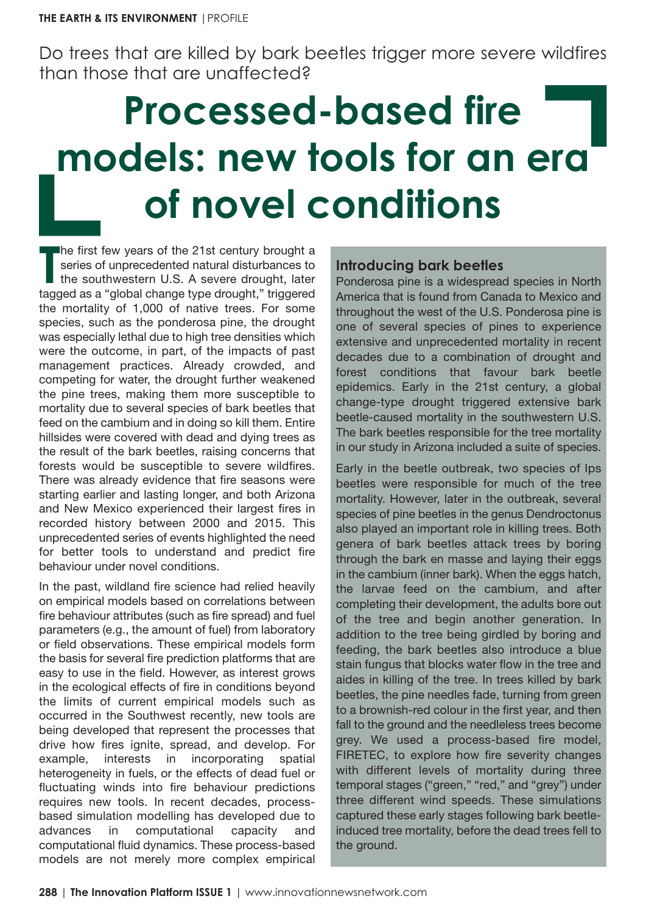Do trees that are killed by bark beetles trigger more severe wildfires than those that are unaffected?

# **Processed-based fire models: new tools for an era of novel conditions**

The first few years of the 21st century brought a series of unprecedented natural disturbances to the southwestern U.S. A severe drought, later tagged as a "global change type drought," triggered he first few years of the 21st century brought a series of unprecedented natural disturbances to the southwestern U.S. A severe drought, later the mortality of 1,000 of native trees. For some species, such as the ponderosa pine, the drought was especially lethal due to high tree densities which were the outcome, in part, of the impacts of past management practices. Already crowded, and competing for water, the drought further weakened the pine trees, making them more susceptible to mortality due to several species of bark beetles that feed on the cambium and in doing so kill them. Entire hillsides were covered with dead and dying trees as the result of the bark beetles, raising concerns that forests would be susceptible to severe wildfires. There was already evidence that fire seasons were starting earlier and lasting longer, and both Arizona and New Mexico experienced their largest fires in recorded history between 2000 and 2015. This unprecedented series of events highlighted the need for better tools to understand and predict fire behaviour under novel conditions.

In the past, wildland fire science had relied heavily on empirical models based on correlations between fire behaviour attributes (such as fire spread) and fuel parameters (e.g., the amount of fuel) from laboratory or field observations. These empirical models form the basis for several fire prediction platforms that are easy to use in the field. However, as interest grows in the ecological effects of fire in conditions beyond the limits of current empirical models such as occurred in the Southwest recently, new tools are being developed that represent the processes that drive how fires ignite, spread, and develop. For example, interests in incorporating spatial heterogeneity in fuels, or the effects of dead fuel or fluctuating winds into fire behaviour predictions requires new tools. In recent decades, processbased simulation modelling has developed due to advances in computational capacity and computational fluid dynamics. These process-based models are not merely more complex empirical

# **Introducing bark beetles**

Ponderosa pine is a widespread species in North America that is found from Canada to Mexico and throughout the west of the U.S. Ponderosa pine is one of several species of pines to experience extensive and unprecedented mortality in recent decades due to a combination of drought and forest conditions that favour bark beetle epidemics. Early in the 21st century, a global change-type drought triggered extensive bark beetle-caused mortality in the southwestern U.S. The bark beetles responsible for the tree mortality in our study in Arizona included a suite of species.

Early in the beetle outbreak, two species of Ips beetles were responsible for much of the tree mortality. However, later in the outbreak, several species of pine beetles in the genus Dendroctonus also played an important role in killing trees. Both genera of bark beetles attack trees by boring through the bark en masse and laying their eggs in the cambium (inner bark). When the eggs hatch, the larvae feed on the cambium, and after completing their development, the adults bore out of the tree and begin another generation. In addition to the tree being girdled by boring and feeding, the bark beetles also introduce a blue stain fungus that blocks water flow in the tree and aides in killing of the tree. In trees killed by bark beetles, the pine needles fade, turning from green to a brownish-red colour in the first year, and then fall to the ground and the needleless trees become grey. We used a process-based fire model, FIRETEC, to explore how fire severity changes with different levels of mortality during three temporal stages ("green," "red," and "grey") under three different wind speeds. These simulations captured these early stages following bark beetleinduced tree mortality, before the dead trees fell to the ground.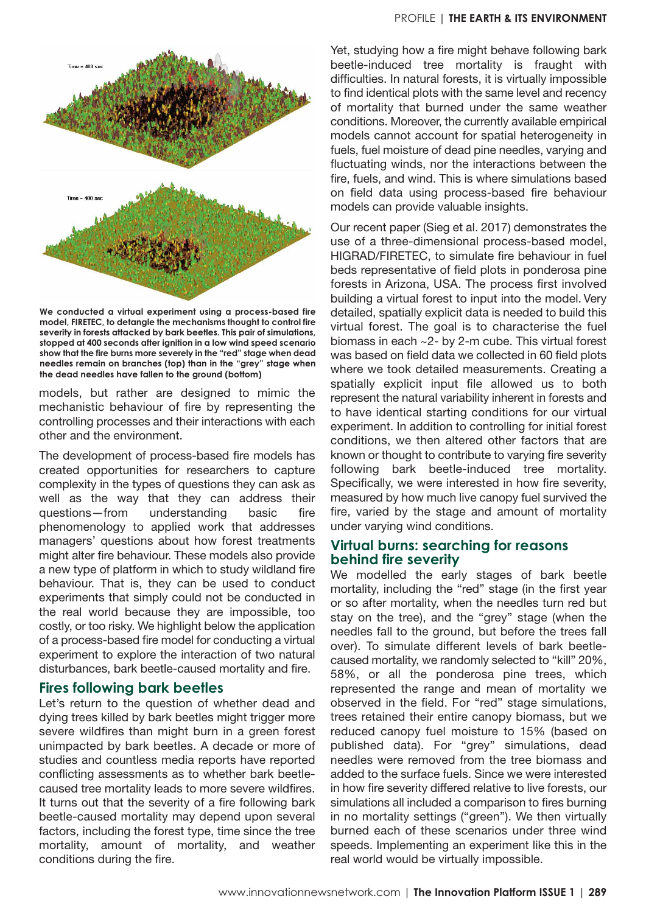



**We conducted a virtual experiment using a process-based fire model, FIRETEC, to detangle the mechanisms thought to control fire severity in forests attacked by bark beetles. This pair of simulations, stopped at 400 seconds after ignition in a low wind speed scenario show that the fire burns more severely in the "red" stage when dead needles remain on branches (top) than in the "grey" stage when the dead needles have fallen to the ground (bottom)**

models, but rather are designed to mimic the mechanistic behaviour of fire by representing the controlling processes and their interactions with each other and the environment.

The development of process-based fire models has created opportunities for researchers to capture complexity in the types of questions they can ask as well as the way that they can address their questions—from understanding basic fire phenomenology to applied work that addresses managers' questions about how forest treatments might alter fire behaviour. These models also provide a new type of platform in which to study wildland fire behaviour. That is, they can be used to conduct experiments that simply could not be conducted in the real world because they are impossible, too costly, or too risky. We highlight below the application of a process-based fire model for conducting a virtual experiment to explore the interaction of two natural disturbances, bark beetle-caused mortality and fire.

### **Fires following bark beetles**

Let's return to the question of whether dead and dying trees killed by bark beetles might trigger more severe wildfires than might burn in a green forest unimpacted by bark beetles. A decade or more of studies and countless media reports have reported conflicting assessments as to whether bark beetlecaused tree mortality leads to more severe wildfires. It turns out that the severity of a fire following bark beetle-caused mortality may depend upon several factors, including the forest type, time since the tree mortality, amount of mortality, and weather conditions during the fire.

Yet, studying how a fire might behave following bark beetle-induced tree mortality is fraught with difficulties. In natural forests, it is virtually impossible to find identical plots with the same level and recency of mortality that burned under the same weather conditions. Moreover, the currently available empirical models cannot account for spatial heterogeneity in fuels, fuel moisture of dead pine needles, varying and fluctuating winds, nor the interactions between the fire, fuels, and wind. This is where simulations based on field data using process-based fire behaviour models can provide valuable insights.

Our recent paper (Sieg et al. 2017) demonstrates the use of a three-dimensional process-based model, HIGRAD/FIRETEC, to simulate fire behaviour in fuel beds representative of field plots in ponderosa pine forests in Arizona, USA. The process first involved building a virtual forest to input into the model. Very detailed, spatially explicit data is needed to build this virtual forest. The goal is to characterise the fuel biomass in each ~2- by 2-m cube. This virtual forest was based on field data we collected in 60 field plots where we took detailed measurements. Creating a spatially explicit input file allowed us to both represent the natural variability inherent in forests and to have identical starting conditions for our virtual experiment. In addition to controlling for initial forest conditions, we then altered other factors that are known or thought to contribute to varying fire severity following bark beetle-induced tree mortality. Specifically, we were interested in how fire severity, measured by how much live canopy fuel survived the fire, varied by the stage and amount of mortality under varying wind conditions.

## **Virtual burns: searching for reasons behind fire severity**

We modelled the early stages of bark beetle mortality, including the "red" stage (in the first year or so after mortality, when the needles turn red but stay on the tree), and the "grey" stage (when the needles fall to the ground, but before the trees fall over). To simulate different levels of bark beetlecaused mortality, we randomly selected to "kill" 20%, 58%, or all the ponderosa pine trees, which represented the range and mean of mortality we observed in the field. For "red" stage simulations, trees retained their entire canopy biomass, but we reduced canopy fuel moisture to 15% (based on published data). For "grey" simulations, dead needles were removed from the tree biomass and added to the surface fuels. Since we were interested in how fire severity differed relative to live forests, our simulations all included a comparison to fires burning in no mortality settings ("green"). We then virtually burned each of these scenarios under three wind speeds. Implementing an experiment like this in the real world would be virtually impossible.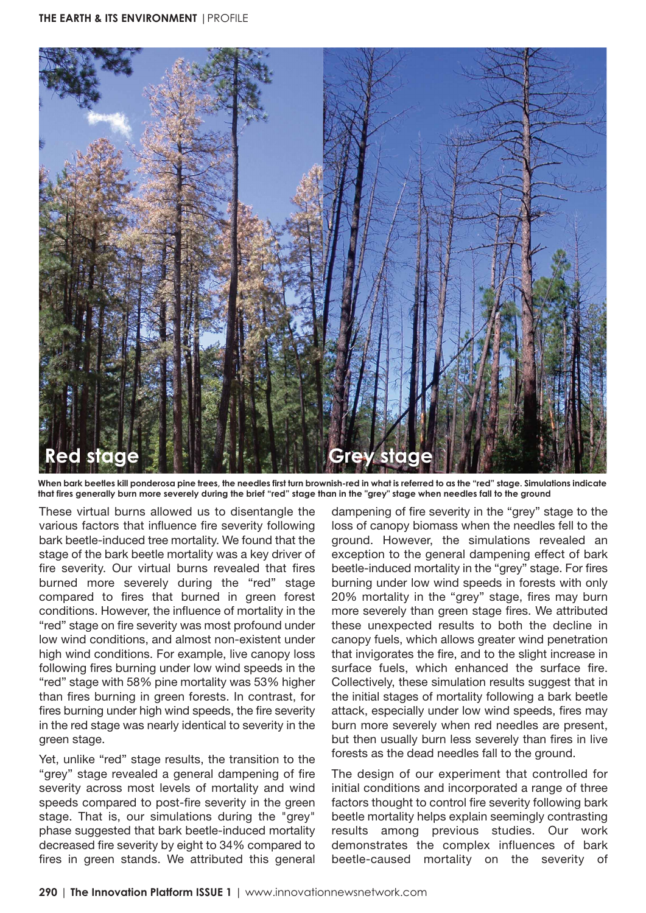

**When bark beetles kill ponderosa pine trees, the needles first turn brownish-red in what is referred to as the "red" stage. Simulations indicate that fires generally burn more severely during the brief "red" stage than in the "grey" stage when needles fall to the ground**

These virtual burns allowed us to disentangle the various factors that influence fire severity following bark beetle-induced tree mortality. We found that the stage of the bark beetle mortality was a key driver of fire severity. Our virtual burns revealed that fires burned more severely during the "red" stage compared to fires that burned in green forest conditions. However, the influence of mortality in the "red" stage on fire severity was most profound under low wind conditions, and almost non-existent under high wind conditions. For example, live canopy loss following fires burning under low wind speeds in the "red" stage with 58% pine mortality was 53% higher than fires burning in green forests. In contrast, for fires burning under high wind speeds, the fire severity in the red stage was nearly identical to severity in the green stage.

Yet, unlike "red" stage results, the transition to the "grey" stage revealed a general dampening of fire severity across most levels of mortality and wind speeds compared to post-fire severity in the green stage. That is, our simulations during the "grey" phase suggested that bark beetle-induced mortality decreased fire severity by eight to 34% compared to fires in green stands. We attributed this general dampening of fire severity in the "grey" stage to the loss of canopy biomass when the needles fell to the ground. However, the simulations revealed an exception to the general dampening effect of bark beetle-induced mortality in the "grey" stage. For fires burning under low wind speeds in forests with only 20% mortality in the "grey" stage, fires may burn more severely than green stage fires. We attributed these unexpected results to both the decline in canopy fuels, which allows greater wind penetration that invigorates the fire, and to the slight increase in surface fuels, which enhanced the surface fire. Collectively, these simulation results suggest that in the initial stages of mortality following a bark beetle attack, especially under low wind speeds, fires may burn more severely when red needles are present, but then usually burn less severely than fires in live forests as the dead needles fall to the ground.

The design of our experiment that controlled for initial conditions and incorporated a range of three factors thought to control fire severity following bark beetle mortality helps explain seemingly contrasting results among previous studies. Our work demonstrates the complex influences of bark beetle-caused mortality on the severity of